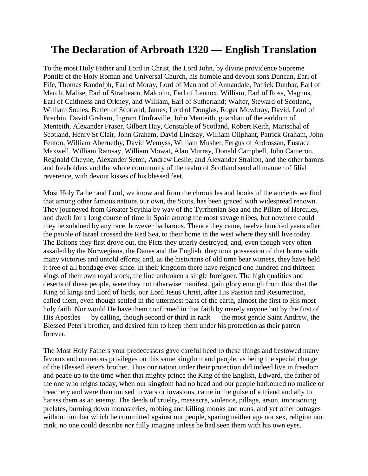## **The Declaration of Arbroath 1320 — English Translation**

To the most Holy Father and Lord in Christ, the Lord John, by divine providence Supreme Pontiff of the Holy Roman and Universal Church, his humble and devout sons Duncan, Earl of Fife, Thomas Randolph, Earl of Moray, Lord of Man and of Annandale, Patrick Dunbar, Earl of March, Malise, Earl of Strathearn, Malcolm, Earl of Lennox, William, Earl of Ross, Magnus, Earl of Caithness and Orkney, and William, Earl of Sutherland; Walter, Steward of Scotland, William Soules, Butler of Scotland, James, Lord of Douglas, Roger Mowbray, David, Lord of Brechin, David Graham, Ingram Umfraville, John Menteith, guardian of the earldom of Menteith, Alexander Fraser, Gilbert Hay, Constable of Scotland, Robert Keith, Marischal of Scotland, Henry St Clair, John Graham, David Lindsay, William Oliphant, Patrick Graham, John Fenton, William Abernethy, David Wemyss, William Mushet, Fergus of Ardrossan, Eustace Maxwell, William Ramsay, William Mowat, Alan Murray, Donald Campbell, John Cameron, Reginald Cheyne, Alexander Seton, Andrew Leslie, and Alexander Straiton, and the other barons and freeholders and the whole community of the realm of Scotland send all manner of filial reverence, with devout kisses of his blessed feet.

Most Holy Father and Lord, we know and from the chronicles and books of the ancients we find that among other famous nations our own, the Scots, has been graced with widespread renown. They journeyed from Greater Scythia by way of the Tyrrhenian Sea and the Pillars of Hercules, and dwelt for a long course of time in Spain among the most savage tribes, but nowhere could they be subdued by any race, however barbarous. Thence they came, twelve hundred years after the people of Israel crossed the Red Sea, to their home in the west where they still live today. The Britons they first drove out, the Picts they utterly destroyed, and, even though very often assailed by the Norwegians, the Danes and the English, they took possession of that home with many victories and untold efforts; and, as the historians of old time bear witness, they have held it free of all bondage ever since. In their kingdom there have reigned one hundred and thirteen kings of their own royal stock, the line unbroken a single foreigner. The high qualities and deserts of these people, were they not otherwise manifest, gain glory enough from this: that the King of kings and Lord of lords, our Lord Jesus Christ, after His Passion and Resurrection, called them, even though settled in the uttermost parts of the earth, almost the first to His most holy faith. Nor would He have them confirmed in that faith by merely anyone but by the first of His Apostles — by calling, though second or third in rank — the most gentle Saint Andrew, the Blessed Peter's brother, and desired him to keep them under his protection as their patron forever.

The Most Holy Fathers your predecessors gave careful heed to these things and bestowed many favours and numerous privileges on this same kingdom and people, as being the special charge of the Blessed Peter's brother. Thus our nation under their protection did indeed live in freedom and peace up to the time when that mighty prince the King of the English, Edward, the father of the one who reigns today, when our kingdom had no head and our people harboured no malice or treachery and were then unused to wars or invasions, came in the guise of a friend and ally to harass them as an enemy. The deeds of cruelty, massacre, violence, pillage, arson, imprisoning prelates, burning down monasteries, robbing and killing monks and nuns, and yet other outrages without number which he committed against our people, sparing neither age nor sex, religion nor rank, no one could describe nor fully imagine unless he had seen them with his own eyes.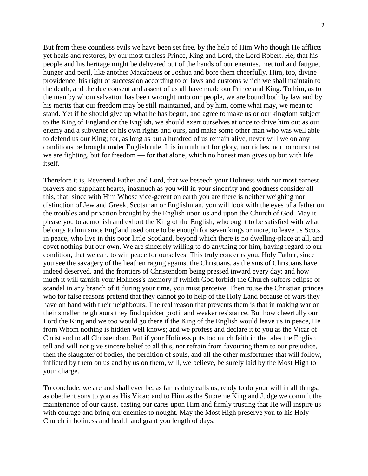But from these countless evils we have been set free, by the help of Him Who though He afflicts yet heals and restores, by our most tireless Prince, King and Lord, the Lord Robert. He, that his people and his heritage might be delivered out of the hands of our enemies, met toil and fatigue, hunger and peril, like another Macabaeus or Joshua and bore them cheerfully. Him, too, divine providence, his right of succession according to or laws and customs which we shall maintain to the death, and the due consent and assent of us all have made our Prince and King. To him, as to the man by whom salvation has been wrought unto our people, we are bound both by law and by his merits that our freedom may be still maintained, and by him, come what may, we mean to stand. Yet if he should give up what he has begun, and agree to make us or our kingdom subject to the King of England or the English, we should exert ourselves at once to drive him out as our enemy and a subverter of his own rights and ours, and make some other man who was well able to defend us our King; for, as long as but a hundred of us remain alive, never will we on any conditions be brought under English rule. It is in truth not for glory, nor riches, nor honours that we are fighting, but for freedom — for that alone, which no honest man gives up but with life itself.

Therefore it is, Reverend Father and Lord, that we beseech your Holiness with our most earnest prayers and suppliant hearts, inasmuch as you will in your sincerity and goodness consider all this, that, since with Him Whose vice-gerent on earth you are there is neither weighing nor distinction of Jew and Greek, Scotsman or Englishman, you will look with the eyes of a father on the troubles and privation brought by the English upon us and upon the Church of God. May it please you to admonish and exhort the King of the English, who ought to be satisfied with what belongs to him since England used once to be enough for seven kings or more, to leave us Scots in peace, who live in this poor little Scotland, beyond which there is no dwelling-place at all, and covet nothing but our own. We are sincerely willing to do anything for him, having regard to our condition, that we can, to win peace for ourselves. This truly concerns you, Holy Father, since you see the savagery of the heathen raging against the Christians, as the sins of Christians have indeed deserved, and the frontiers of Christendom being pressed inward every day; and how much it will tarnish your Holiness's memory if (which God forbid) the Church suffers eclipse or scandal in any branch of it during your time, you must perceive. Then rouse the Christian princes who for false reasons pretend that they cannot go to help of the Holy Land because of wars they have on hand with their neighbours. The real reason that prevents them is that in making war on their smaller neighbours they find quicker profit and weaker resistance. But how cheerfully our Lord the King and we too would go there if the King of the English would leave us in peace, He from Whom nothing is hidden well knows; and we profess and declare it to you as the Vicar of Christ and to all Christendom. But if your Holiness puts too much faith in the tales the English tell and will not give sincere belief to all this, nor refrain from favouring them to our prejudice, then the slaughter of bodies, the perdition of souls, and all the other misfortunes that will follow, inflicted by them on us and by us on them, will, we believe, be surely laid by the Most High to your charge.

To conclude, we are and shall ever be, as far as duty calls us, ready to do your will in all things, as obedient sons to you as His Vicar; and to Him as the Supreme King and Judge we commit the maintenance of our cause, casting our cares upon Him and firmly trusting that He will inspire us with courage and bring our enemies to nought. May the Most High preserve you to his Holy Church in holiness and health and grant you length of days.